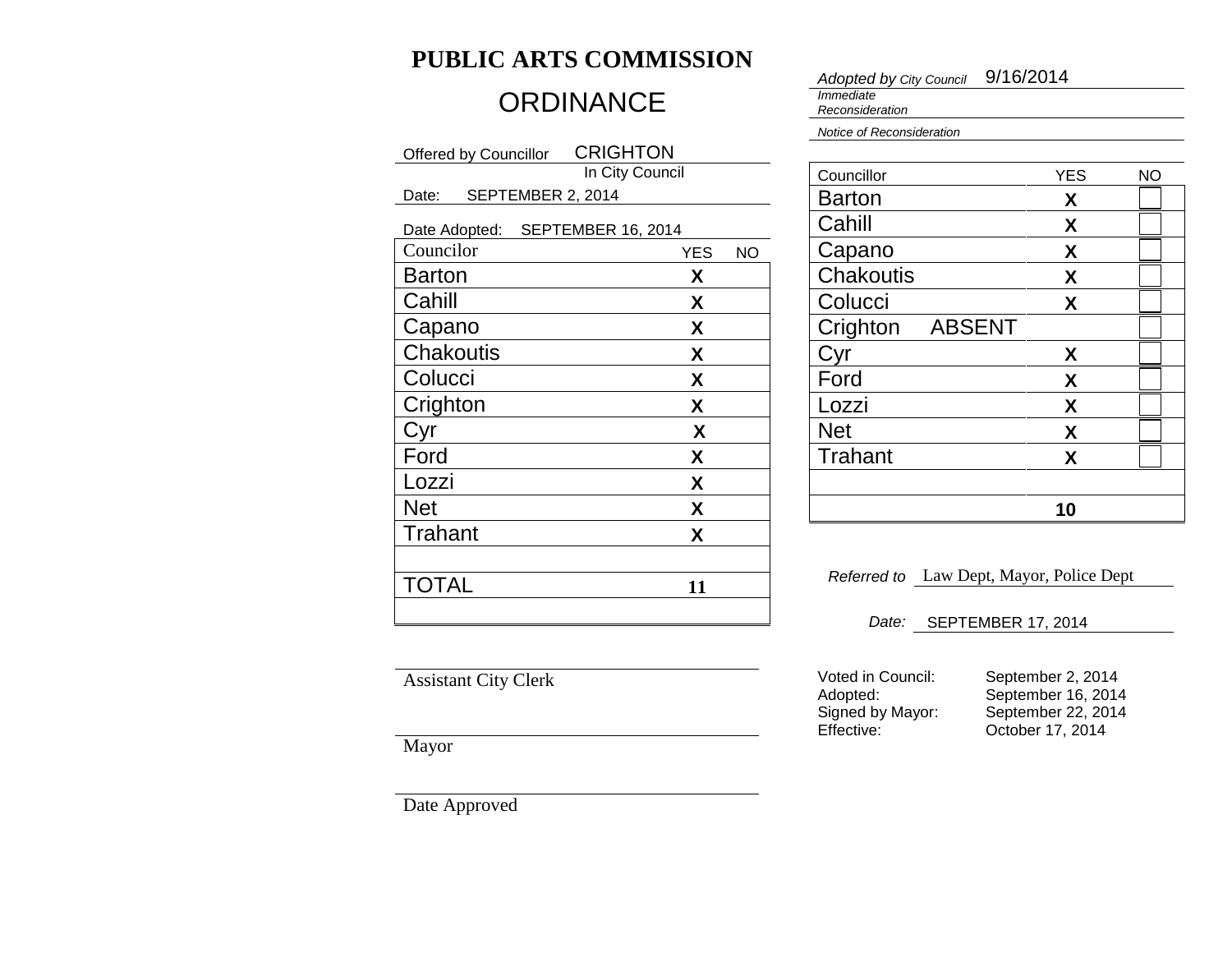# **PUBLIC ARTS COMMISSION**

# **ORDINANCE**

| <b>CRIGHTON</b><br>Offered by Councillor |                                  |  |  |  |
|------------------------------------------|----------------------------------|--|--|--|
| In City Council                          |                                  |  |  |  |
| Date:                                    | SEPTEMBER 2, 2014                |  |  |  |
|                                          | Date Adopted: SEPTEMBER 16, 2014 |  |  |  |
| Councilor                                | <b>YES</b><br>NΟ                 |  |  |  |
| <b>Barton</b>                            | X                                |  |  |  |
| Cahill                                   | X                                |  |  |  |
| Capano                                   | X                                |  |  |  |
| <b>Chakoutis</b>                         | X                                |  |  |  |
| Colucci                                  | X                                |  |  |  |
| Crighton                                 | X                                |  |  |  |
| Cyr                                      | X                                |  |  |  |
| Ford                                     | X                                |  |  |  |
| Lozzi                                    | X                                |  |  |  |
| <b>Net</b>                               | X                                |  |  |  |
| Trahant                                  | X                                |  |  |  |
|                                          |                                  |  |  |  |
| TOTAL                                    | 11                               |  |  |  |
|                                          |                                  |  |  |  |

*Adopted by City Council* 9/16/2014

*Immediate Reconsideration*

*Notice of Reconsideration*

| Councillor     |        | <b>YES</b> | NΟ |
|----------------|--------|------------|----|
| <b>Barton</b>  |        | X          |    |
| Cahill         |        | X          |    |
| Capano         |        | X          |    |
| Chakoutis      |        | X          |    |
| Colucci        |        | X          |    |
| Crighton       | ABSENT |            |    |
| Cyr            |        | X          |    |
| Ford           |        | X          |    |
| Lozzi          |        | X          |    |
| <b>Net</b>     |        | X          |    |
| <b>Trahant</b> |        | X          |    |
|                |        |            |    |
|                |        | 10         |    |

*Referred to* Law Dept, Mayor, Police Dept

*Date:* SEPTEMBER 17, 2014

Assistant City Clerk

Mayor

Date Approved

Voted in Council: September 2, 2014<br>Adopted: September 16, 2014 Adopted: September 16, 2014<br>Signed by Mayor: September 22, 2014 Signed by Mayor: September 22, 2014<br>Effective: October 17, 2014

October 17, 2014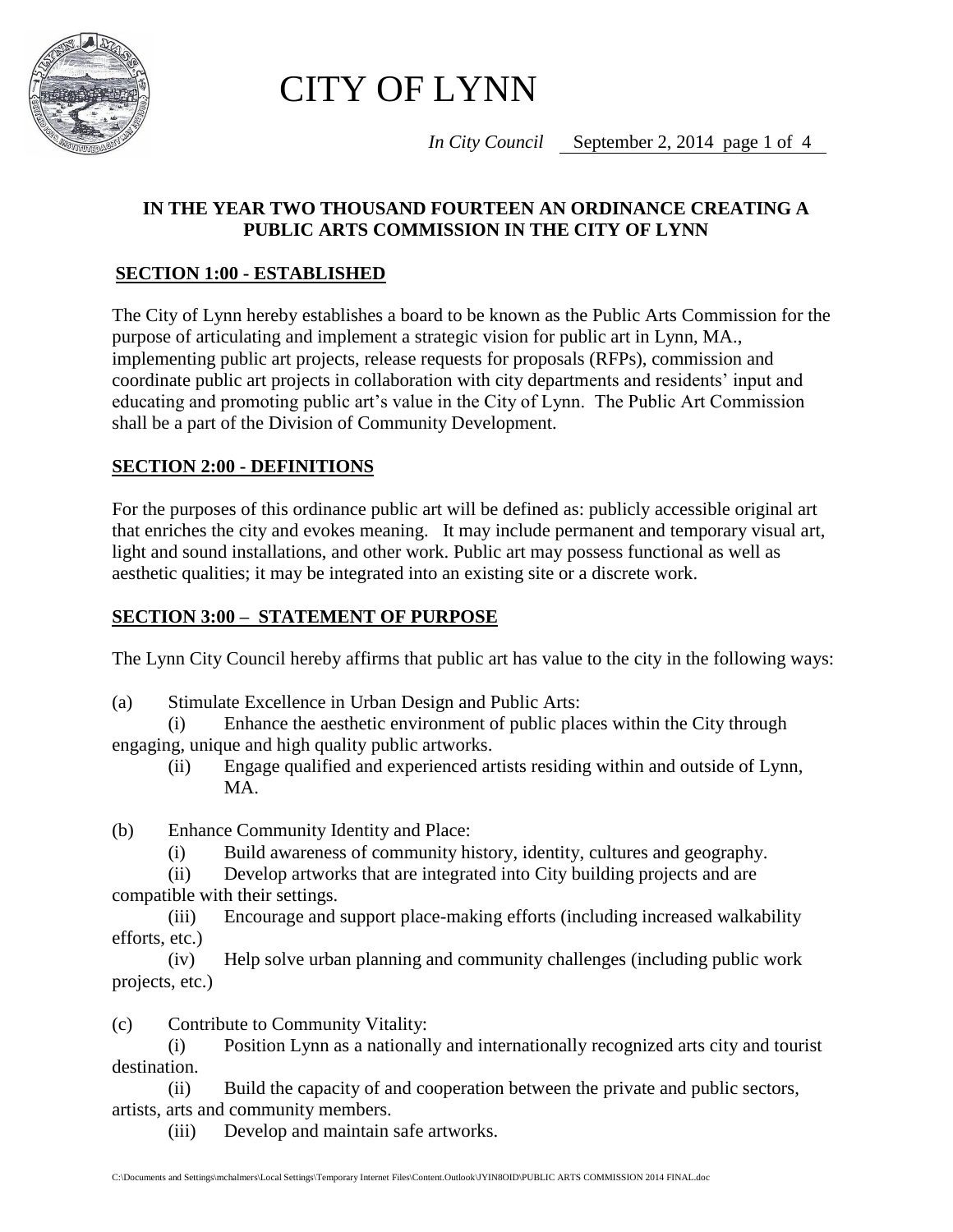

CITY OF LYNN

*In City Council* September 2, 2014 page 1 of 4

# **IN THE YEAR TWO THOUSAND FOURTEEN AN ORDINANCE CREATING A PUBLIC ARTS COMMISSION IN THE CITY OF LYNN**

# **SECTION 1:00 - ESTABLISHED**

The City of Lynn hereby establishes a board to be known as the Public Arts Commission for the purpose of articulating and implement a strategic vision for public art in Lynn, MA., implementing public art projects, release requests for proposals (RFPs), commission and coordinate public art projects in collaboration with city departments and residents' input and educating and promoting public art's value in the City of Lynn. The Public Art Commission shall be a part of the Division of Community Development.

# **SECTION 2:00 - DEFINITIONS**

For the purposes of this ordinance public art will be defined as: publicly accessible original art that enriches the city and evokes meaning. It may include permanent and temporary visual art, light and sound installations, and other work. Public art may possess functional as well as aesthetic qualities; it may be integrated into an existing site or a discrete work.

### **SECTION 3:00 – STATEMENT OF PURPOSE**

The Lynn City Council hereby affirms that public art has value to the city in the following ways:

(a) Stimulate Excellence in Urban Design and Public Arts:

(i) Enhance the aesthetic environment of public places within the City through engaging, unique and high quality public artworks.

(ii) Engage qualified and experienced artists residing within and outside of Lynn, MA.

(b) Enhance Community Identity and Place:

(i) Build awareness of community history, identity, cultures and geography.

(ii) Develop artworks that are integrated into City building projects and are compatible with their settings.

(iii) Encourage and support place-making efforts (including increased walkability efforts, etc.)

(iv) Help solve urban planning and community challenges (including public work projects, etc.)

(c) Contribute to Community Vitality:

(i) Position Lynn as a nationally and internationally recognized arts city and tourist destination.

(ii) Build the capacity of and cooperation between the private and public sectors, artists, arts and community members.

(iii) Develop and maintain safe artworks.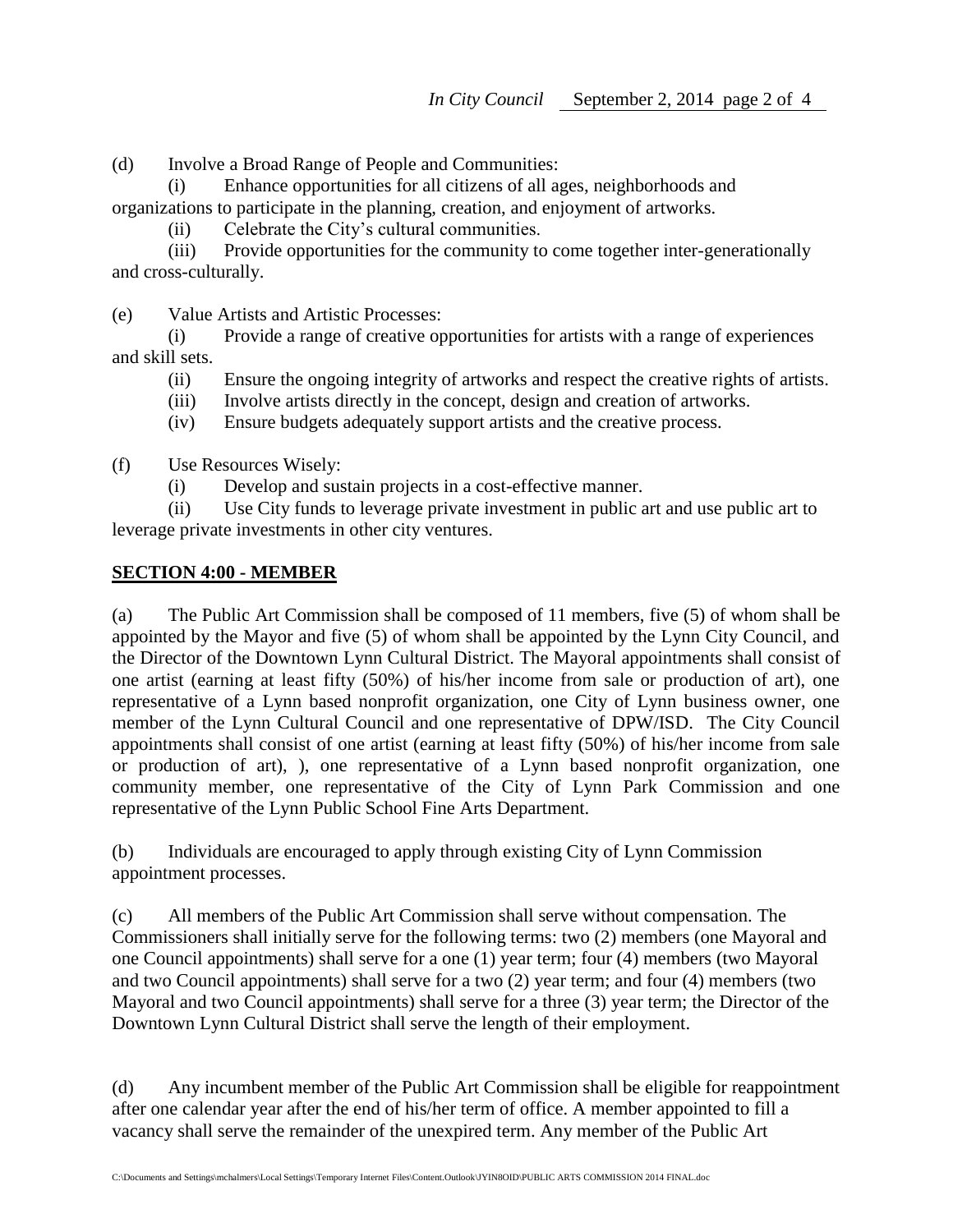(d) Involve a Broad Range of People and Communities:

(i) Enhance opportunities for all citizens of all ages, neighborhoods and organizations to participate in the planning, creation, and enjoyment of artworks.

(ii) Celebrate the City's cultural communities.

(iii) Provide opportunities for the community to come together inter-generationally and cross-culturally.

(e) Value Artists and Artistic Processes:

(i) Provide a range of creative opportunities for artists with a range of experiences and skill sets.

- (ii) Ensure the ongoing integrity of artworks and respect the creative rights of artists.
- (iii) Involve artists directly in the concept, design and creation of artworks.
- (iv) Ensure budgets adequately support artists and the creative process.

(f) Use Resources Wisely:

(i) Develop and sustain projects in a cost-effective manner.

(ii) Use City funds to leverage private investment in public art and use public art to leverage private investments in other city ventures.

#### **SECTION 4:00 - MEMBER**

(a) The Public Art Commission shall be composed of 11 members, five (5) of whom shall be appointed by the Mayor and five (5) of whom shall be appointed by the Lynn City Council, and the Director of the Downtown Lynn Cultural District. The Mayoral appointments shall consist of one artist (earning at least fifty (50%) of his/her income from sale or production of art), one representative of a Lynn based nonprofit organization, one City of Lynn business owner, one member of the Lynn Cultural Council and one representative of DPW/ISD. The City Council appointments shall consist of one artist (earning at least fifty (50%) of his/her income from sale or production of art), ), one representative of a Lynn based nonprofit organization, one community member, one representative of the City of Lynn Park Commission and one representative of the Lynn Public School Fine Arts Department.

(b) Individuals are encouraged to apply through existing City of Lynn Commission appointment processes.

(c) All members of the Public Art Commission shall serve without compensation. The Commissioners shall initially serve for the following terms: two (2) members (one Mayoral and one Council appointments) shall serve for a one (1) year term; four (4) members (two Mayoral and two Council appointments) shall serve for a two (2) year term; and four (4) members (two Mayoral and two Council appointments) shall serve for a three (3) year term; the Director of the Downtown Lynn Cultural District shall serve the length of their employment.

(d) Any incumbent member of the Public Art Commission shall be eligible for reappointment after one calendar year after the end of his/her term of office. A member appointed to fill a vacancy shall serve the remainder of the unexpired term. Any member of the Public Art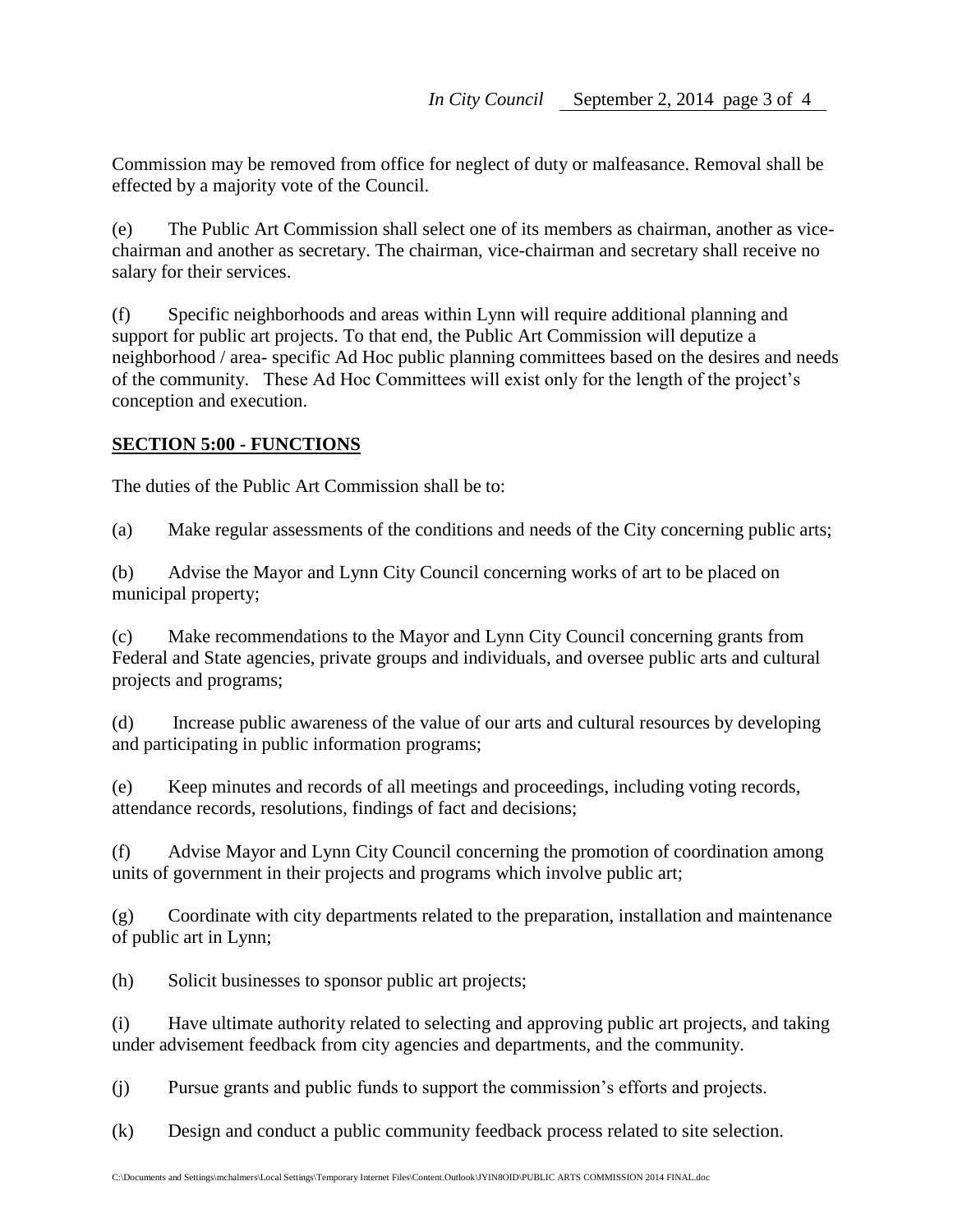Commission may be removed from office for neglect of duty or malfeasance. Removal shall be effected by a majority vote of the Council.

(e) The Public Art Commission shall select one of its members as chairman, another as vicechairman and another as secretary. The chairman, vice-chairman and secretary shall receive no salary for their services.

(f) Specific neighborhoods and areas within Lynn will require additional planning and support for public art projects. To that end, the Public Art Commission will deputize a neighborhood / area- specific Ad Hoc public planning committees based on the desires and needs of the community. These Ad Hoc Committees will exist only for the length of the project's conception and execution.

# **SECTION 5:00 - FUNCTIONS**

The duties of the Public Art Commission shall be to:

(a) Make regular assessments of the conditions and needs of the City concerning public arts;

(b) Advise the Mayor and Lynn City Council concerning works of art to be placed on municipal property;

(c) Make recommendations to the Mayor and Lynn City Council concerning grants from Federal and State agencies, private groups and individuals, and oversee public arts and cultural projects and programs;

(d) Increase public awareness of the value of our arts and cultural resources by developing and participating in public information programs;

(e) Keep minutes and records of all meetings and proceedings, including voting records, attendance records, resolutions, findings of fact and decisions;

(f) Advise Mayor and Lynn City Council concerning the promotion of coordination among units of government in their projects and programs which involve public art;

(g) Coordinate with city departments related to the preparation, installation and maintenance of public art in Lynn;

(h) Solicit businesses to sponsor public art projects;

(i) Have ultimate authority related to selecting and approving public art projects, and taking under advisement feedback from city agencies and departments, and the community.

(j) Pursue grants and public funds to support the commission's efforts and projects.

(k) Design and conduct a public community feedback process related to site selection.